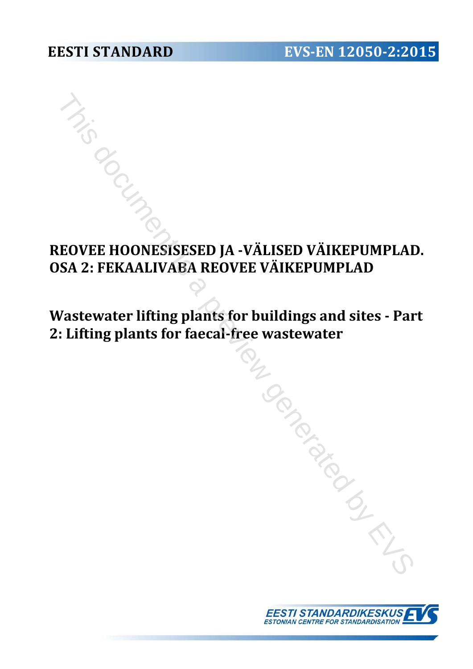# **REOVEE HOONESISESED JA -VÄLISED VÄIKEPUMPLAD. OSA 2: FEKAALIVABA REOVEE VÄIKEPUMPLAD** This dover Hoonesisesed JA -VÄLISED VÄIKEPUMPLAI<br>
3A 2: FEKAALIVABA REOVEE VÄIKEPUMPLAD<br>
7astewater lifting plants for buildings and sites - Pa<br>
1. Lifting plants for faccal-free wastewater

# **Wastewater lifting plants for buildings and sites - Part 2: Lifting plants for faecal-free wastewater**

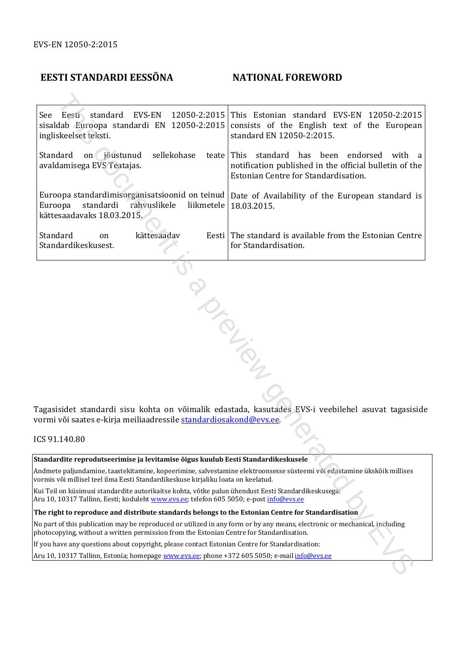#### **EESTI STANDARDI EESSÕNA NATIONAL FOREWORD**

See Eesti standard EVS-EN 12050-2:2015 sisaldab Euroopa standardi EN 12050-2:2015 ingliskeelset teksti. This Estonian standard EVS-EN 12050-2:2015 consists of the English text of the European standard EN 12050-2:2015. Standard on jõustunud sellekohase teate avaldamisega EVS Teatajas. Euroopa standardimisorganisatsioonid on teinud Euroopa standardi rahvuslikele liikmetele kättesaadavaks 18.03.2015. This standard has been endorsed with a notification published in the official bulletin of the Estonian Centre for Standardisation. Date of Availability of the European standard is 18.03.2015. Standard on kättesaadav Standardikeskusest. Eesti The standard is available from the Estonian Centre for Standardisation. Eesti, stondard EVS-EN 12050-2:2015 This Estonian standard EVS-EN 12050-2:2016<br>
dob Euroopa standardi iN 12050-2:2015 cansists of the Finglish text of the Ruropez<br>
skeedic (election) standard EN 12050-2:2015.<br>
Skeedic ele

Tagasisidet standardi sisu kohta on võimalik edastada, kasutades EVS-i veebilehel asuvat tagasiside vormi või saates e-kirja meiliaadressile standardiosakond@evs.ee.

ICS 91.140.80

**Standardite reprodutseerimise ja levitamise õigus kuulub Eesti Standardikeskusele** 

Andmete paljundamine, taastekitamine, kopeerimine, salvestamine elektroonsesse süsteemi või edastamine ükskõik millises vormis või millisel teel ilma Eesti Standardikeskuse kirjaliku loata on keelatud.

Kui Teil on küsimusi standardite autorikaitse kohta, võtke palun ühendust Eesti Standardikeskusega: Aru 10, 10317 Tallinn, Eesti; koduleht www.evs.ee; telefon 605 5050; e-post *info@evs.ee* 

**The right to reproduce and distribute standards belongs to the Estonian Centre for Standardisation** 

No part of this publication may be reproduced or utilized in any form or by any means, electronic or mechanical, including photocopying, without a written permission from the Estonian Centre for Standardisation.

If you have any questions about copyright, please contact Estonian Centre for Standardisation:

Aru 10, 10317 Tallinn, Estonia; homepage www.evs.ee; phone +372 605 5050; e-mail info@evs.ee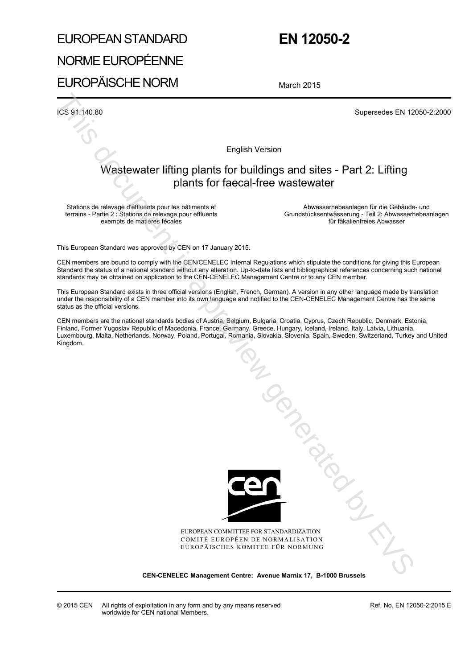## EUROPEAN STANDARD NORME EUROPÉENNE

## **EN 12050-2**

# EUROPÄISCHE NORM

March 2015

ICS 91.140.80 Supersedes EN 12050-2:2000

English Version

#### Wastewater lifting plants for buildings and sites - Part 2: Lifting plants for faecal-free wastewater

Stations de relevage d'effluents pour les bâtiments et terrains - Partie 2 : Stations de relevage pour effluents exempts de matières fécales

Abwasserhebeanlagen für die Gebäude- und Grundstücksentwässerung - Teil 2: Abwasserhebeanlagen für fäkalienfreies Abwasser

This European Standard was approved by CEN on 17 January 2015.

CEN members are bound to comply with the CEN/CENELEC Internal Regulations which stipulate the conditions for giving this European Standard the status of a national standard without any alteration. Up-to-date lists and bibliographical references concerning such national standards may be obtained on application to the CEN-CENELEC Management Centre or to any CEN member.

This European Standard exists in three official versions (English, French, German). A version in any other language made by translation under the responsibility of a CEN member into its own language and notified to the CEN-CENELEC Management Centre has the same status as the official versions.

CEN members are the national standards bodies of Austria, Belgium, Bulgaria, Croatia, Cyprus, Czech Republic, Denmark, Estonia, Finland, Former Yugoslav Republic of Macedonia, France, Germany, Greece, Hungary, Iceland, Ireland, Italy, Latvia, Lithuania, Luxembourg, Malta, Netherlands, Norway, Poland, Portugal, Romania, Slovakia, Slovenia, Spain, Sweden, Switzerland, Turkey and United Kingdom.



EUROPEAN COMMITTEE FOR STANDARDIZATION COMITÉ EUROPÉEN DE NORMALISATION EUROPÄISCHES KOMITEE FÜR NORMUNG

**CEN-CENELEC Management Centre: Avenue Marnix 17, B-1000 Brussels**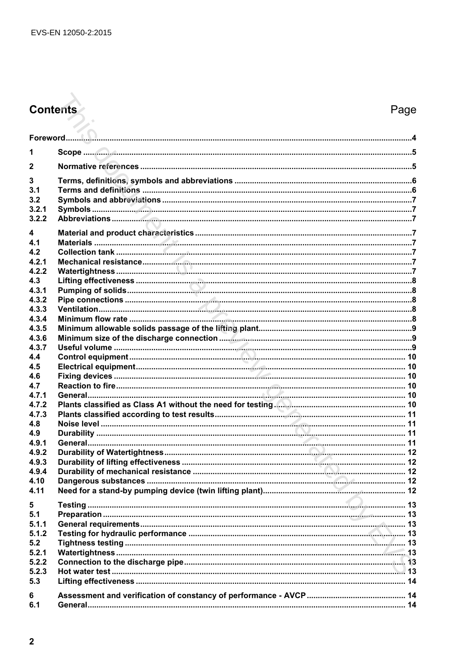# **Contents**

### Page

| 1            |  |
|--------------|--|
| $\mathbf{2}$ |  |
| 3            |  |
| 3.1          |  |
| 3.2          |  |
| 3.2.1        |  |
| 3.2.2        |  |
| 4            |  |
| 4.1          |  |
| 4.2          |  |
| 4.2.1        |  |
| 4.2.2        |  |
| 4.3          |  |
| 4.3.1        |  |
| 4.3.2        |  |
| 4.3.3        |  |
| 4.3.4        |  |
| 4.3.5        |  |
| 4.3.6        |  |
| 4.3.7        |  |
| 4.4          |  |
| 4.5          |  |
| 4.6          |  |
| 4.7          |  |
| 4.7.1        |  |
| 4.7.2        |  |
| 4.7.3        |  |
| 4.8          |  |
| 4.9          |  |
| 4.9.1        |  |
| 4.9.2        |  |
| 4.9.3        |  |
| 4.9.4        |  |
| 4.10         |  |
| 4.11         |  |
| 5            |  |
| 5.1          |  |
| 5.1.1        |  |
| 5.1.2        |  |
| 5.2          |  |
| 5.2.1        |  |
| 5.2.2        |  |
| 5.2.3        |  |
| 5.3          |  |
| 6            |  |
| 6.1          |  |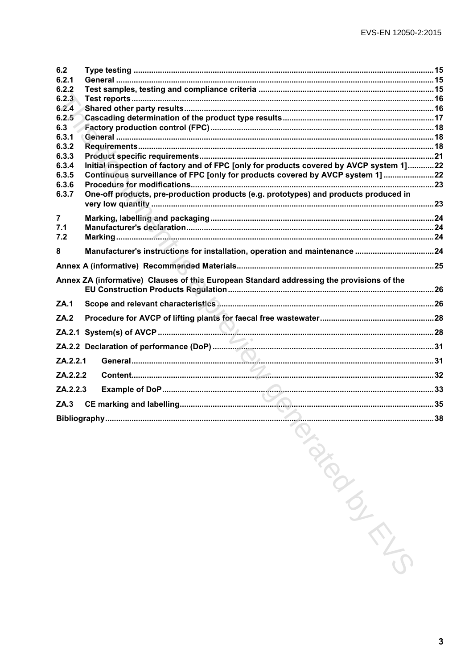| 6.2            |                                                                                           |  |
|----------------|-------------------------------------------------------------------------------------------|--|
| 6.2.1          |                                                                                           |  |
| 6.2.2          |                                                                                           |  |
| 6.2.3          |                                                                                           |  |
| 6.2.4          |                                                                                           |  |
| 6.2.5          |                                                                                           |  |
| 6.3            |                                                                                           |  |
| 6.3.1          |                                                                                           |  |
| 6.3.2          |                                                                                           |  |
| 6.3.3          |                                                                                           |  |
| 6.3.4          | Initial inspection of factory and of FPC [only for products covered by AVCP system 1]22   |  |
| 6.3.5          | Continuous surveillance of FPC [only for products covered by AVCP system 1] 22            |  |
| 6.3.6          |                                                                                           |  |
| 6.3.7          | One-off products, pre-production products (e.g. prototypes) and products produced in      |  |
| $\overline{7}$ |                                                                                           |  |
| 7.1            |                                                                                           |  |
| 7.2            |                                                                                           |  |
| 8              | Manufacturer's instructions for installation, operation and maintenance 24                |  |
|                |                                                                                           |  |
|                | Annex ZA (informative) Clauses of this European Standard addressing the provisions of the |  |
| <b>ZA.1</b>    |                                                                                           |  |
| ZA.2           |                                                                                           |  |
|                |                                                                                           |  |
|                |                                                                                           |  |
| ZA.2.2.1       |                                                                                           |  |
| ZA.2.2.2       |                                                                                           |  |
| ZA.2.2.3       |                                                                                           |  |
|                |                                                                                           |  |
|                |                                                                                           |  |

Mandons Cripton

 $\overline{\mathbf{3}}$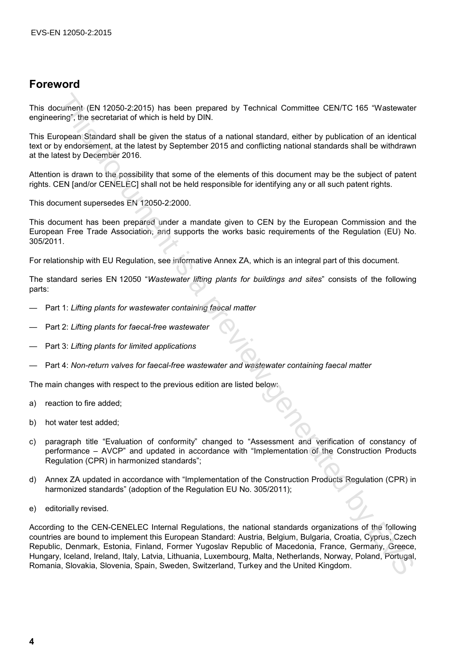#### **Foreword**

This document (EN 12050-2:2015) has been prepared by Technical Committee CEN/TC 165 "Wastewater engineering", the secretariat of which is held by DIN.

This European Standard shall be given the status of a national standard, either by publication of an identical text or by endorsement, at the latest by September 2015 and conflicting national standards shall be withdrawn at the latest by December 2016.

Attention is drawn to the possibility that some of the elements of this document may be the subject of patent rights. CEN [and/or CENELEC] shall not be held responsible for identifying any or all such patent rights.

This document supersedes EN 12050-2:2000.

This document has been prepared under a mandate given to CEN by the European Commission and the European Free Trade Association, and supports the works basic requirements of the Regulation (EU) No. 305/2011.

For relationship with EU Regulation, see informative Annex ZA, which is an integral part of this document.

The standard series EN 12050 "*Wastewater lifting plants for buildings and sites*" consists of the following parts:

- Part 1: *Lifting plants for wastewater containing faecal matter*
- Part 2: *Lifting plants for faecal-free wastewater*
- Part 3: *Lifting plants for limited applications*
- Part 4: *Non-return valves for faecal-free wastewater and wastewater containing faecal matter*

The main changes with respect to the previous edition are listed below:

- a) reaction to fire added;
- b) hot water test added;
- c) paragraph title "Evaluation of conformity" changed to "Assessment and verification of constancy of performance – AVCP" and updated in accordance with "Implementation of the Construction Products Regulation (CPR) in harmonized standards";
- d) Annex ZA updated in accordance with "Implementation of the Construction Products Regulation (CPR) in harmonized standards" (adoption of the Regulation EU No. 305/2011);
- e) editorially revised.

According to the CEN-CENELEC Internal Regulations, the national standards organizations of the following countries are bound to implement this European Standard: Austria, Belgium, Bulgaria, Croatia, Cyprus, Czech Republic, Denmark, Estonia, Finland, Former Yugoslav Republic of Macedonia, France, Germany, Greece, Hungary, Iceland, Ireland, Italy, Latvia, Lithuania, Luxembourg, Malta, Netherlands, Norway, Poland, Portugal, Romania, Slovakia, Slovenia, Spain, Sweden, Switzerland, Turkey and the United Kingdom. coursent (EN 12050-22015) has been prepared by Technical Committee CENTC 165 "Wastewater<br>infor the secretarial of which is held by DIN.<br>This periodic stand lead by perform the status of a national standard, either by publi